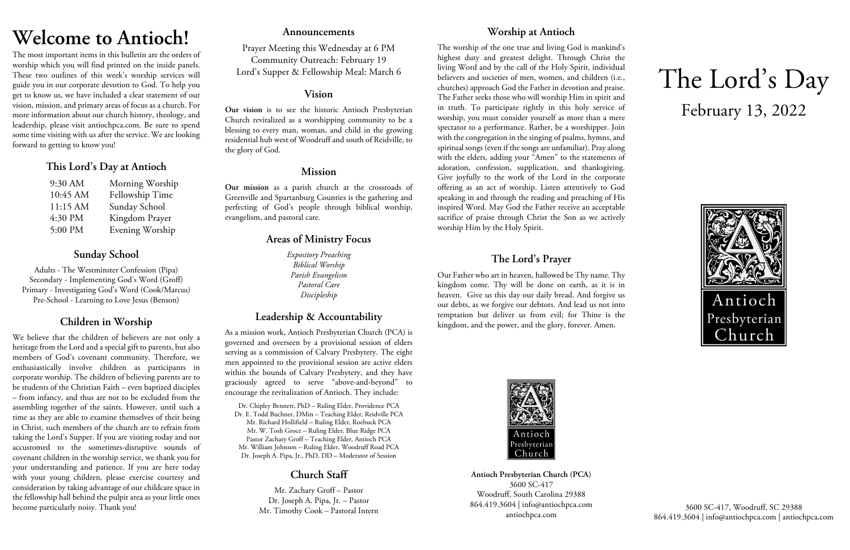## **Welcome to Antioch!**

The most important items in this bulletin are the orders of worship which you will find printed on the inside panels. These two outlines of this week's worship services will guide you in our corporate devotion to God. To help you get to know us, we have included a clear statement of our vision, mission, and primary areas of focus as a church. For more information about our church history, theology, and leadership, please visit antiochpca.com. Be sure to spend some time visiting with us after the service. We are looking forward to getting to know you!

## **This Lord's Day at Antioch**

| 9:30 AM  | Morning Worship |
|----------|-----------------|
| 10:45 AM | Fellowship Time |
| 11:15 AM | Sunday School   |
| 4:30 PM  | Kingdom Prayer  |
| 5:00 PM  | Evening Worship |

## **Sunday School**

Adults - The Westminster Confession (Pipa) Secondary - Implementing God's Word (Groff) Primary - Investigating God's Word (Cook/Marcus) Pre-School - Learning to Love Jesus (Benson)

## **Children in Worship**

We believe that the children of believers are not only a heritage from the Lord and a special gift to parents, but also members of God's covenant community. Therefore, we enthusiastically involve children as participants in corporate worship. The children of believing parents are to be students of the Christian Faith – even baptized disciples – from infancy, and thus are not to be excluded from the assembling together of the saints. However, until such a time as they are able to examine themselves of their being in Christ, such members of the church are to refrain from taking the Lord's Supper. If you are visiting today and not accustomed to the sometimes-disruptive sounds of covenant children in the worship service, we thank you for your understanding and patience. If you are here today with your young children, please exercise courtesy and consideration by taking advantage of our childcare space in the fellowship hall behind the pulpit area as your little ones become particularly noisy. Thank you!

### **Announcements**

Prayer Meeting this Wednesday at 6 PM Community Outreach: February 19 Lord's Supper & Fellowship Meal: March 6

### **Vision**

**Our vision** is to see the historic Antioch Presbyterian Church revitalized as a worshipping community to be a blessing to every man, woman, and child in the growing residential hub west of Woodruff and south of Reidville, to the glory of God.

## **Mission**

**Our mission** as a parish church at the crossroads of Greenville and Spartanburg Counties is the gathering and perfecting of God's people through biblical worship, evangelism, and pastoral care.

## **Areas of Ministry Focus**

*Expository Preaching Biblical Worship Parish Evangelism Pastoral Care Discipleship*

## **Leadership & Accountability**

As a mission work, Antioch Presbyterian Church (PCA) is governed and overseen by a provisional session of elders serving as a commission of Calvary Presbytery. The eight men appointed to the provisional session are active elders within the bounds of Calvary Presbytery, and they have graciously agreed to serve "above-and-beyond" to encourage the revitalization of Antioch. They include:

Dr. Chipley Bennett, PhD – Ruling Elder, Providence PCA Dr. E. Todd Buchner, DMin – Teaching Elder, Reidville PCA Mr. Richard Hollifield – Ruling Elder, Roebuck PCA Mr. W. Tosh Groce – Ruling Elder, Blue Ridge PCA Pastor Zachary Groff – Teaching Elder, Antioch PCA Mr. William Johnson – Ruling Elder, Woodruff Road PCA Dr. Joseph A. Pipa, Jr., PhD, DD – Moderator of Session

## **Church Staff**

Mr. Zachary Groff – Pastor Dr. Joseph A. Pipa, Jr. – Pastor Mr. Timothy Cook – Pastoral Intern

## **Worship at Antioch**

The worship of the one true and living God is mankind's highest duty and greatest delight. Through Christ the living Word and by the call of the Holy Spirit, individual believers and societies of men, women, and children (i.e., churches) approach God the Father in devotion and praise. The Father seeks those who will worship Him in spirit and in truth. To participate rightly in this holy service of worship, you must consider yourself as more than a mere spectator to a performance. Rather, be a worshipper. Join with the congregation in the singing of psalms, hymns, and spiritual songs (even if the songs are unfamiliar). Pray along with the elders, adding your "Amen" to the statements of adoration, confession, supplication, and thanksgiving. Give joyfully to the work of the Lord in the corporate offering as an act of worship. Listen attentively to God speaking in and through the reading and preaching of His inspired Word. May God the Father receive an acceptable sacrifice of praise through Christ the Son as we actively worship Him by the Holy Spirit.

## **The Lord's Prayer**

Our Father who art in heaven, hallowed be Thy name. Thy kingdom come. Thy will be done on earth, as it is in heaven. Give us this day our daily bread. And forgive us our debts, as we forgive our debtors. And lead us not into temptation but deliver us from evil; for Thine is the kingdom, and the power, and the glory, forever. Amen.



**Antioch Presbyterian Church (PCA)** 3600 SC-417 Woodruff, South Carolina 29388 864.419.3604 | info@antiochpca.com antiochpca.com

# The Lord's Day February 13, 2022



3600 SC-417, Woodruff, SC 29388 864.419.3604 | info@antiochpca.com | antiochpca.com